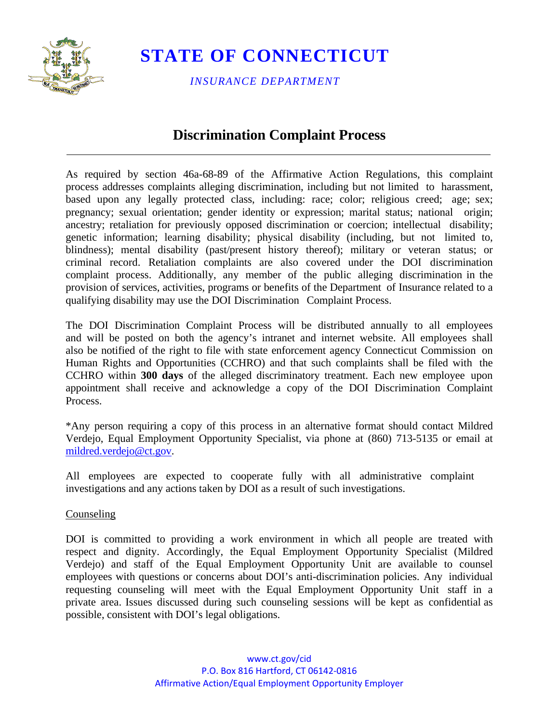

*INSURANCE DEPARTMENT*

### **Discrimination Complaint Process**

As required by section 46a-68-89 of the Affirmative Action Regulations, this complaint process addresses complaints alleging discrimination, including but not limited to harassment, based upon any legally protected class, including: race; color; religious creed; age; sex; pregnancy; sexual orientation; gender identity or expression; marital status; national origin; ancestry; retaliation for previously opposed discrimination or coercion; intellectual disability; genetic information; learning disability; physical disability (including, but not limited to, blindness); mental disability (past/present history thereof); military or veteran status; or criminal record. Retaliation complaints are also covered under the DOI discrimination complaint process. Additionally, any member of the public alleging discrimination in the provision of services, activities, programs or benefits of the Department of Insurance related to a qualifying disability may use the DOI Discrimination Complaint Process.

The DOI Discrimination Complaint Process will be distributed annually to all employees and will be posted on both the agency's intranet and internet website. All employees shall also be notified of the right to file with state enforcement agency Connecticut Commission on Human Rights and Opportunities (CCHRO) and that such complaints shall be filed with the CCHRO within **300 days** of the alleged discriminatory treatment. Each new employee upon appointment shall receive and acknowledge a copy of the DOI Discrimination Complaint Process.

\*Any person requiring a copy of this process in an alternative format should contact Mildred Verdejo, Equal Employment Opportunity Specialist, via phone at (860) 713-5135 or email at [mildred.verdejo@ct.gov.](mailto:mildred.verdejo@ct.gov)

All employees are expected to cooperate fully with all administrative complaint investigations and any actions taken by DOI as a result of such investigations.

#### Counseling

DOI is committed to providing a work environment in which all people are treated with respect and dignity. Accordingly, the Equal Employment Opportunity Specialist (Mildred Verdejo) and staff of the Equal Employment Opportunity Unit are available to counsel employees with questions or concerns about DOI's anti-discrimination policies. Any individual requesting counseling will meet with the Equal Employment Opportunity Unit staff in a private area. Issues discussed during such counseling sessions will be kept as confidential as possible, consistent with DOI's legal obligations.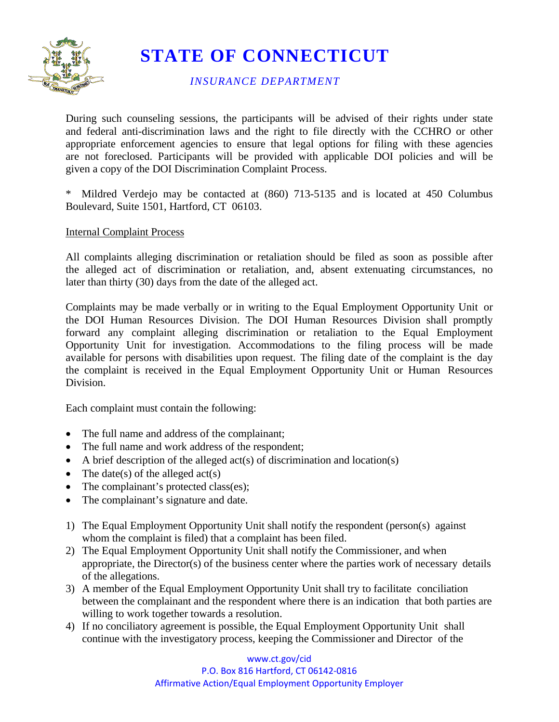

*INSURANCE DEPARTMENT*

During such counseling sessions, the participants will be advised of their rights under state and federal anti-discrimination laws and the right to file directly with the CCHRO or other appropriate enforcement agencies to ensure that legal options for filing with these agencies are not foreclosed. Participants will be provided with applicable DOI policies and will be given a copy of the DOI Discrimination Complaint Process.

Mildred Verdejo may be contacted at (860) 713-5135 and is located at 450 Columbus Boulevard, Suite 1501, Hartford, CT 06103.

### Internal Complaint Process

All complaints alleging discrimination or retaliation should be filed as soon as possible after the alleged act of discrimination or retaliation, and, absent extenuating circumstances, no later than thirty (30) days from the date of the alleged act.

Complaints may be made verbally or in writing to the Equal Employment Opportunity Unit or the DOI Human Resources Division. The DOI Human Resources Division shall promptly forward any complaint alleging discrimination or retaliation to the Equal Employment Opportunity Unit for investigation. Accommodations to the filing process will be made available for persons with disabilities upon request. The filing date of the complaint is the day the complaint is received in the Equal Employment Opportunity Unit or Human Resources Division.

Each complaint must contain the following:

- The full name and address of the complainant;
- The full name and work address of the respondent;
- A brief description of the alleged act(s) of discrimination and location(s)
- The date(s) of the alleged  $act(s)$
- The complainant's protected class(es);
- The complainant's signature and date.
- 1) The Equal Employment Opportunity Unit shall notify the respondent (person(s) against whom the complaint is filed) that a complaint has been filed.
- 2) The Equal Employment Opportunity Unit shall notify the Commissioner, and when appropriate, the Director(s) of the business center where the parties work of necessary details of the allegations.
- 3) A member of the Equal Employment Opportunity Unit shall try to facilitate conciliation between the complainant and the respondent where there is an indication that both parties are willing to work together towards a resolution.
- 4) If no conciliatory agreement is possible, the Equal Employment Opportunity Unit shall continue with the investigatory process, keeping the Commissioner and Director of the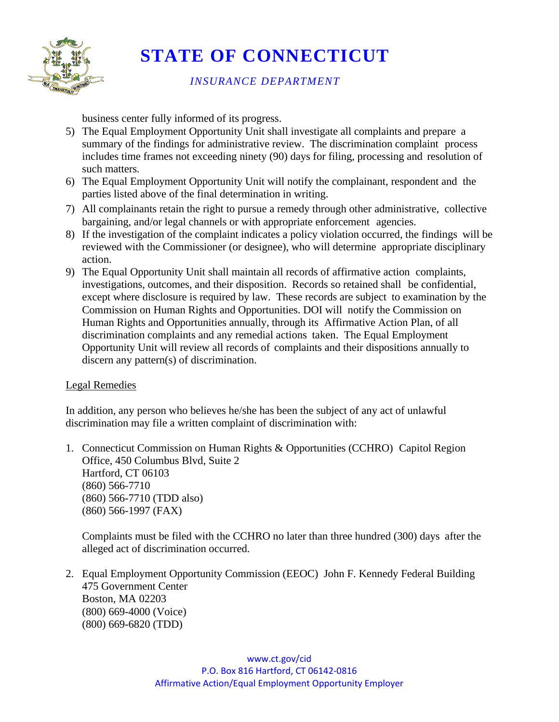

### *INSURANCE DEPARTMENT*

business center fully informed of its progress.

- 5) The Equal Employment Opportunity Unit shall investigate all complaints and prepare a summary of the findings for administrative review. The discrimination complaint process includes time frames not exceeding ninety (90) days for filing, processing and resolution of such matters.
- 6) The Equal Employment Opportunity Unit will notify the complainant, respondent and the parties listed above of the final determination in writing.
- 7) All complainants retain the right to pursue a remedy through other administrative, collective bargaining, and/or legal channels or with appropriate enforcement agencies.
- 8) If the investigation of the complaint indicates a policy violation occurred, the findings will be reviewed with the Commissioner (or designee), who will determine appropriate disciplinary action.
- 9) The Equal Opportunity Unit shall maintain all records of affirmative action complaints, investigations, outcomes, and their disposition. Records so retained shall be confidential, except where disclosure is required by law. These records are subject to examination by the Commission on Human Rights and Opportunities. DOI will notify the Commission on Human Rights and Opportunities annually, through its Affirmative Action Plan, of all discrimination complaints and any remedial actions taken. The Equal Employment Opportunity Unit will review all records of complaints and their dispositions annually to discern any pattern(s) of discrimination.

### Legal Remedies

In addition, any person who believes he/she has been the subject of any act of unlawful discrimination may file a written complaint of discrimination with:

1. Connecticut Commission on Human Rights & Opportunities (CCHRO) Capitol Region Office, 450 Columbus Blvd, Suite 2 Hartford, CT 06103 (860) 566-7710 (860) 566-7710 (TDD also) (860) 566-1997 (FAX)

Complaints must be filed with the CCHRO no later than three hundred (300) days after the alleged act of discrimination occurred.

2. Equal Employment Opportunity Commission (EEOC) John F. Kennedy Federal Building 475 Government Center Boston, MA 02203 (800) 669-4000 (Voice) (800) 669-6820 (TDD)